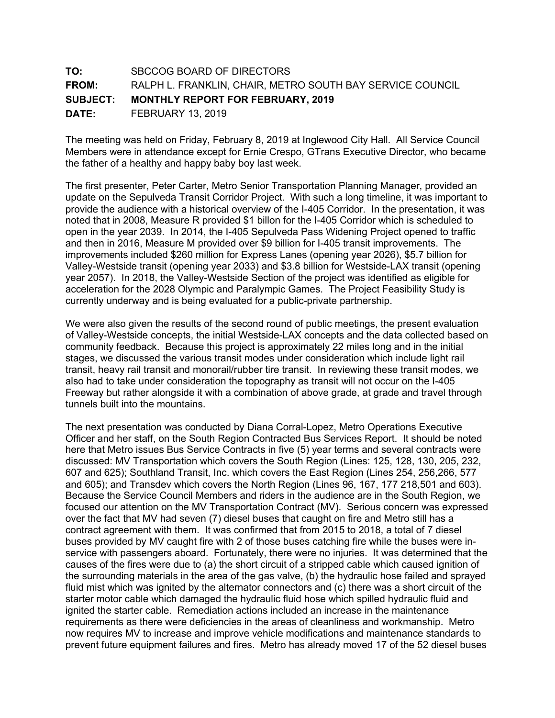## **TO:** SBCCOG BOARD OF DIRECTORS **FROM:** RALPH L. FRANKLIN, CHAIR, METRO SOUTH BAY SERVICE COUNCIL **SUBJECT: MONTHLY REPORT FOR FEBRUARY, 2019 DATE:** FEBRUARY 13, 2019

The meeting was held on Friday, February 8, 2019 at Inglewood City Hall. All Service Council Members were in attendance except for Ernie Crespo, GTrans Executive Director, who became the father of a healthy and happy baby boy last week.

The first presenter, Peter Carter, Metro Senior Transportation Planning Manager, provided an update on the Sepulveda Transit Corridor Project. With such a long timeline, it was important to provide the audience with a historical overview of the I-405 Corridor. In the presentation, it was noted that in 2008, Measure R provided \$1 billon for the I-405 Corridor which is scheduled to open in the year 2039. In 2014, the I-405 Sepulveda Pass Widening Project opened to traffic and then in 2016, Measure M provided over \$9 billion for I-405 transit improvements. The improvements included \$260 million for Express Lanes (opening year 2026), \$5.7 billion for Valley-Westside transit (opening year 2033) and \$3.8 billion for Westside-LAX transit (opening year 2057). In 2018, the Valley-Westside Section of the project was identified as eligible for acceleration for the 2028 Olympic and Paralympic Games. The Project Feasibility Study is currently underway and is being evaluated for a public-private partnership.

We were also given the results of the second round of public meetings, the present evaluation of Valley-Westside concepts, the initial Westside-LAX concepts and the data collected based on community feedback. Because this project is approximately 22 miles long and in the initial stages, we discussed the various transit modes under consideration which include light rail transit, heavy rail transit and monorail/rubber tire transit. In reviewing these transit modes, we also had to take under consideration the topography as transit will not occur on the I-405 Freeway but rather alongside it with a combination of above grade, at grade and travel through tunnels built into the mountains.

The next presentation was conducted by Diana Corral-Lopez, Metro Operations Executive Officer and her staff, on the South Region Contracted Bus Services Report. It should be noted here that Metro issues Bus Service Contracts in five (5) year terms and several contracts were discussed: MV Transportation which covers the South Region (Lines: 125, 128, 130, 205, 232, 607 and 625); Southland Transit, Inc. which covers the East Region (Lines 254, 256,266, 577 and 605); and Transdev which covers the North Region (Lines 96, 167, 177 218,501 and 603). Because the Service Council Members and riders in the audience are in the South Region, we focused our attention on the MV Transportation Contract (MV). Serious concern was expressed over the fact that MV had seven (7) diesel buses that caught on fire and Metro still has a contract agreement with them. It was confirmed that from 2015 to 2018, a total of 7 diesel buses provided by MV caught fire with 2 of those buses catching fire while the buses were inservice with passengers aboard. Fortunately, there were no injuries. It was determined that the causes of the fires were due to (a) the short circuit of a stripped cable which caused ignition of the surrounding materials in the area of the gas valve, (b) the hydraulic hose failed and sprayed fluid mist which was ignited by the alternator connectors and (c) there was a short circuit of the starter motor cable which damaged the hydraulic fluid hose which spilled hydraulic fluid and ignited the starter cable. Remediation actions included an increase in the maintenance requirements as there were deficiencies in the areas of cleanliness and workmanship. Metro now requires MV to increase and improve vehicle modifications and maintenance standards to prevent future equipment failures and fires. Metro has already moved 17 of the 52 diesel buses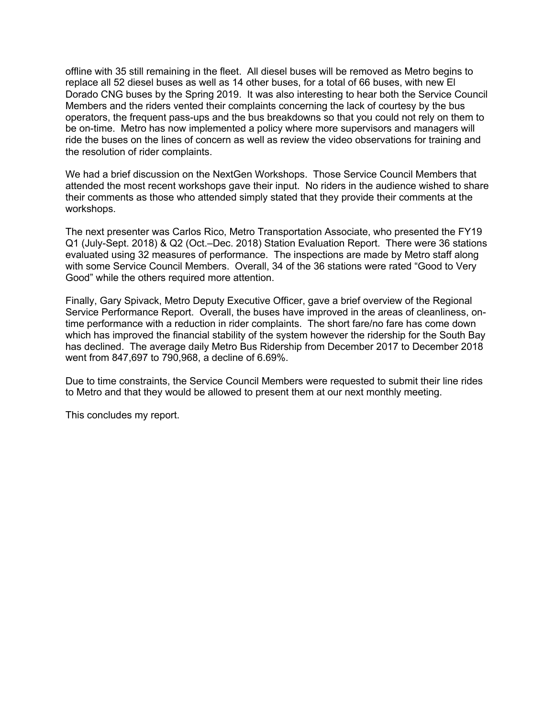offline with 35 still remaining in the fleet. All diesel buses will be removed as Metro begins to replace all 52 diesel buses as well as 14 other buses, for a total of 66 buses, with new El Dorado CNG buses by the Spring 2019. It was also interesting to hear both the Service Council Members and the riders vented their complaints concerning the lack of courtesy by the bus operators, the frequent pass-ups and the bus breakdowns so that you could not rely on them to be on-time. Metro has now implemented a policy where more supervisors and managers will ride the buses on the lines of concern as well as review the video observations for training and the resolution of rider complaints.

We had a brief discussion on the NextGen Workshops. Those Service Council Members that attended the most recent workshops gave their input. No riders in the audience wished to share their comments as those who attended simply stated that they provide their comments at the workshops.

The next presenter was Carlos Rico, Metro Transportation Associate, who presented the FY19 Q1 (July-Sept. 2018) & Q2 (Oct.–Dec. 2018) Station Evaluation Report. There were 36 stations evaluated using 32 measures of performance. The inspections are made by Metro staff along with some Service Council Members. Overall, 34 of the 36 stations were rated "Good to Very Good" while the others required more attention.

Finally, Gary Spivack, Metro Deputy Executive Officer, gave a brief overview of the Regional Service Performance Report. Overall, the buses have improved in the areas of cleanliness, ontime performance with a reduction in rider complaints. The short fare/no fare has come down which has improved the financial stability of the system however the ridership for the South Bay has declined. The average daily Metro Bus Ridership from December 2017 to December 2018 went from 847,697 to 790,968, a decline of 6.69%.

Due to time constraints, the Service Council Members were requested to submit their line rides to Metro and that they would be allowed to present them at our next monthly meeting.

This concludes my report.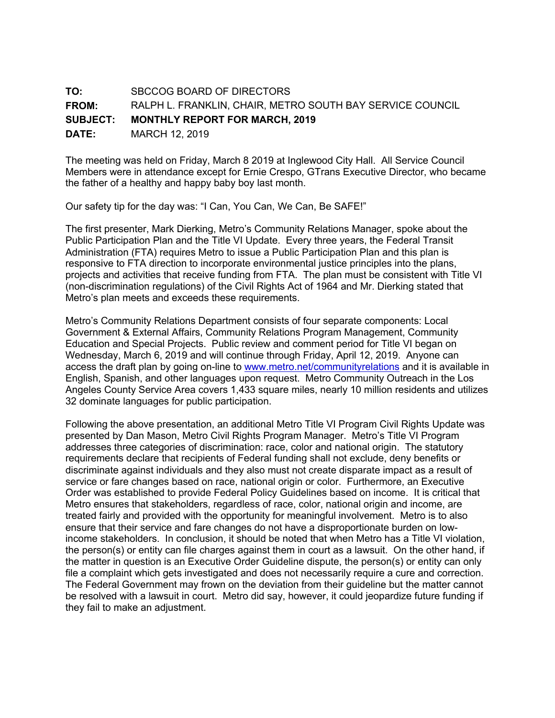## **TO:** SBCCOG BOARD OF DIRECTORS **FROM:** RALPH L. FRANKLIN, CHAIR, METRO SOUTH BAY SERVICE COUNCIL **SUBJECT: MONTHLY REPORT FOR MARCH, 2019 DATE:** MARCH 12, 2019

The meeting was held on Friday, March 8 2019 at Inglewood City Hall. All Service Council Members were in attendance except for Ernie Crespo, GTrans Executive Director, who became the father of a healthy and happy baby boy last month.

Our safety tip for the day was: "I Can, You Can, We Can, Be SAFE!"

The first presenter, Mark Dierking, Metro's Community Relations Manager, spoke about the Public Participation Plan and the Title VI Update. Every three years, the Federal Transit Administration (FTA) requires Metro to issue a Public Participation Plan and this plan is responsive to FTA direction to incorporate environmental justice principles into the plans, projects and activities that receive funding from FTA. The plan must be consistent with Title VI (non-discrimination regulations) of the Civil Rights Act of 1964 and Mr. Dierking stated that Metro's plan meets and exceeds these requirements.

Metro's Community Relations Department consists of four separate components: Local Government & External Affairs, Community Relations Program Management, Community Education and Special Projects. Public review and comment period for Title VI began on Wednesday, March 6, 2019 and will continue through Friday, April 12, 2019. Anyone can access the draft plan by going on-line to www.metro.net/communityrelations and it is available in English, Spanish, and other languages upon request. Metro Community Outreach in the Los Angeles County Service Area covers 1,433 square miles, nearly 10 million residents and utilizes 32 dominate languages for public participation.

Following the above presentation, an additional Metro Title VI Program Civil Rights Update was presented by Dan Mason, Metro Civil Rights Program Manager. Metro's Title VI Program addresses three categories of discrimination: race, color and national origin. The statutory requirements declare that recipients of Federal funding shall not exclude, deny benefits or discriminate against individuals and they also must not create disparate impact as a result of service or fare changes based on race, national origin or color. Furthermore, an Executive Order was established to provide Federal Policy Guidelines based on income. It is critical that Metro ensures that stakeholders, regardless of race, color, national origin and income, are treated fairly and provided with the opportunity for meaningful involvement. Metro is to also ensure that their service and fare changes do not have a disproportionate burden on lowincome stakeholders. In conclusion, it should be noted that when Metro has a Title VI violation, the person(s) or entity can file charges against them in court as a lawsuit. On the other hand, if the matter in question is an Executive Order Guideline dispute, the person(s) or entity can only file a complaint which gets investigated and does not necessarily require a cure and correction. The Federal Government may frown on the deviation from their guideline but the matter cannot be resolved with a lawsuit in court. Metro did say, however, it could jeopardize future funding if they fail to make an adjustment.